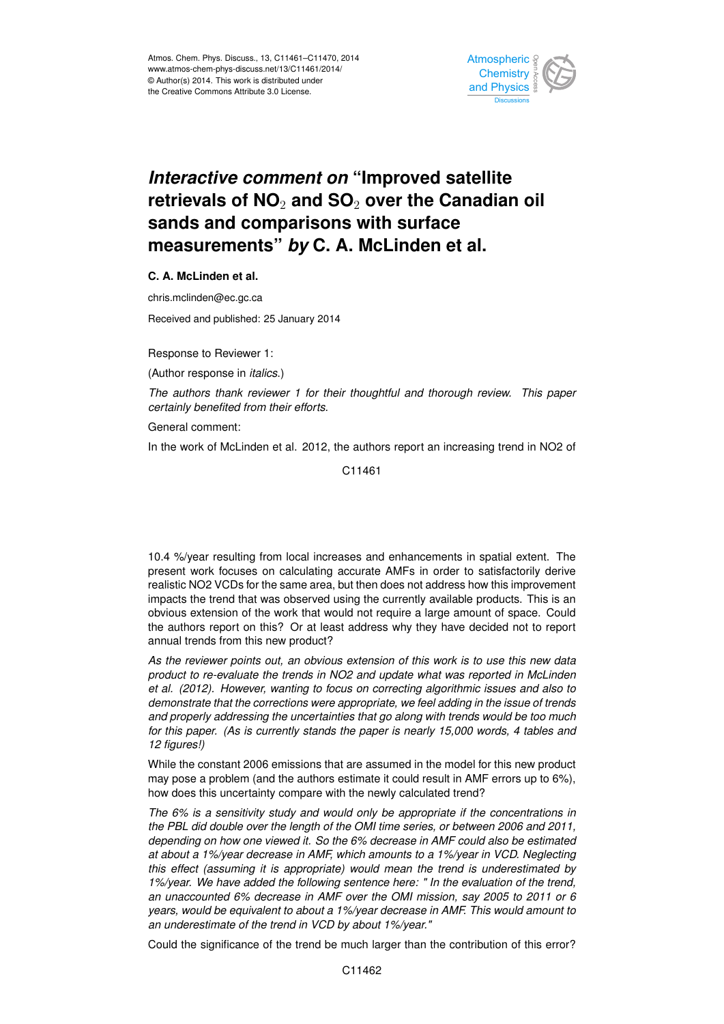

## *Interactive comment on* **"Improved satellite retrievals of NO**<sup>2</sup> **and SO**<sup>2</sup> **over the Canadian oil sands and comparisons with surface measurements"** *by* **C. A. McLinden et al.**

**C. A. McLinden et al.**

chris.mclinden@ec.gc.ca

Received and published: 25 January 2014

Response to Reviewer 1:

(Author response in *italics*.)

*The authors thank reviewer 1 for their thoughtful and thorough review. This paper certainly benefited from their efforts.*

General comment:

In the work of McLinden et al. 2012, the authors report an increasing trend in NO2 of

C11461

10.4 %/year resulting from local increases and enhancements in spatial extent. The present work focuses on calculating accurate AMFs in order to satisfactorily derive realistic NO2 VCDs for the same area, but then does not address how this improvement impacts the trend that was observed using the currently available products. This is an obvious extension of the work that would not require a large amount of space. Could the authors report on this? Or at least address why they have decided not to report annual trends from this new product?

*As the reviewer points out, an obvious extension of this work is to use this new data product to re-evaluate the trends in NO2 and update what was reported in McLinden et al. (2012). However, wanting to focus on correcting algorithmic issues and also to demonstrate that the corrections were appropriate, we feel adding in the issue of trends and properly addressing the uncertainties that go along with trends would be too much for this paper. (As is currently stands the paper is nearly 15,000 words, 4 tables and 12 figures!)*

While the constant 2006 emissions that are assumed in the model for this new product may pose a problem (and the authors estimate it could result in AMF errors up to 6%), how does this uncertainty compare with the newly calculated trend?

*The 6% is a sensitivity study and would only be appropriate if the concentrations in the PBL did double over the length of the OMI time series, or between 2006 and 2011, depending on how one viewed it. So the 6% decrease in AMF could also be estimated at about a 1%/year decrease in AMF, which amounts to a 1%/year in VCD. Neglecting this effect (assuming it is appropriate) would mean the trend is underestimated by 1%/year. We have added the following sentence here: " In the evaluation of the trend, an unaccounted 6% decrease in AMF over the OMI mission, say 2005 to 2011 or 6 years, would be equivalent to about a 1%/year decrease in AMF. This would amount to an underestimate of the trend in VCD by about 1%/year."*

Could the significance of the trend be much larger than the contribution of this error?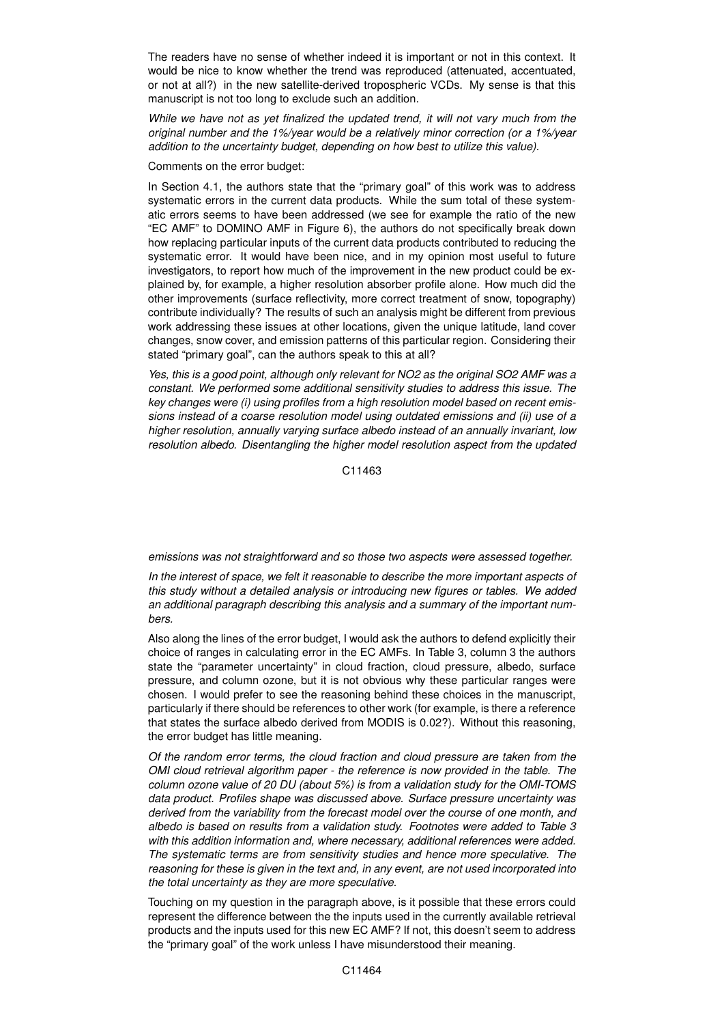The readers have no sense of whether indeed it is important or not in this context. It would be nice to know whether the trend was reproduced (attenuated, accentuated, or not at all?) in the new satellite-derived tropospheric VCDs. My sense is that this manuscript is not too long to exclude such an addition.

*While we have not as yet finalized the updated trend, it will not vary much from the original number and the 1%/year would be a relatively minor correction (or a 1%/year addition to the uncertainty budget, depending on how best to utilize this value).*

Comments on the error budget:

In Section 4.1, the authors state that the "primary goal" of this work was to address systematic errors in the current data products. While the sum total of these systematic errors seems to have been addressed (we see for example the ratio of the new "EC AMF" to DOMINO AMF in Figure 6), the authors do not specifically break down how replacing particular inputs of the current data products contributed to reducing the systematic error. It would have been nice, and in my opinion most useful to future investigators, to report how much of the improvement in the new product could be explained by, for example, a higher resolution absorber profile alone. How much did the other improvements (surface reflectivity, more correct treatment of snow, topography) contribute individually? The results of such an analysis might be different from previous work addressing these issues at other locations, given the unique latitude, land cover changes, snow cover, and emission patterns of this particular region. Considering their stated "primary goal", can the authors speak to this at all?

*Yes, this is a good point, although only relevant for NO2 as the original SO2 AMF was a constant. We performed some additional sensitivity studies to address this issue. The key changes were (i) using profiles from a high resolution model based on recent emissions instead of a coarse resolution model using outdated emissions and (ii) use of a higher resolution, annually varying surface albedo instead of an annually invariant, low resolution albedo. Disentangling the higher model resolution aspect from the updated*

C11463

*emissions was not straightforward and so those two aspects were assessed together.*

*In the interest of space, we felt it reasonable to describe the more important aspects of this study without a detailed analysis or introducing new figures or tables. We added an additional paragraph describing this analysis and a summary of the important numbers.*

Also along the lines of the error budget, I would ask the authors to defend explicitly their choice of ranges in calculating error in the EC AMFs. In Table 3, column 3 the authors state the "parameter uncertainty" in cloud fraction, cloud pressure, albedo, surface pressure, and column ozone, but it is not obvious why these particular ranges were chosen. I would prefer to see the reasoning behind these choices in the manuscript, particularly if there should be references to other work (for example, is there a reference that states the surface albedo derived from MODIS is 0.02?). Without this reasoning, the error budget has little meaning.

*Of the random error terms, the cloud fraction and cloud pressure are taken from the OMI cloud retrieval algorithm paper - the reference is now provided in the table. The column ozone value of 20 DU (about 5%) is from a validation study for the OMI-TOMS data product. Profiles shape was discussed above. Surface pressure uncertainty was derived from the variability from the forecast model over the course of one month, and albedo is based on results from a validation study. Footnotes were added to Table 3 with this addition information and, where necessary, additional references were added. The systematic terms are from sensitivity studies and hence more speculative. The reasoning for these is given in the text and, in any event, are not used incorporated into the total uncertainty as they are more speculative.*

Touching on my question in the paragraph above, is it possible that these errors could represent the difference between the the inputs used in the currently available retrieval products and the inputs used for this new EC AMF? If not, this doesn't seem to address the "primary goal" of the work unless I have misunderstood their meaning.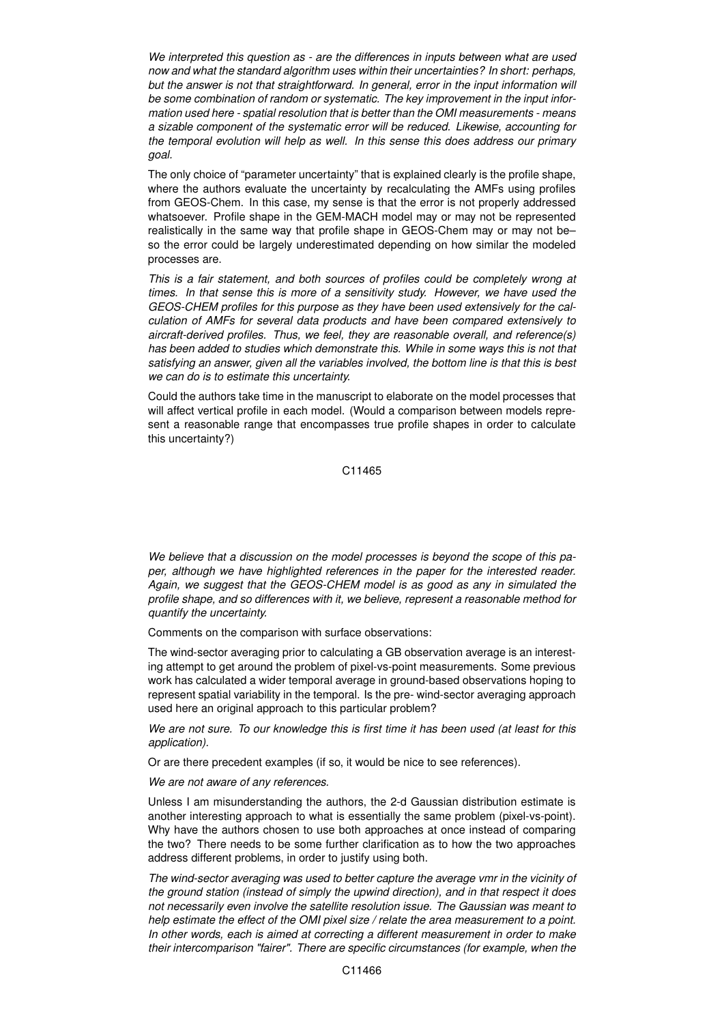*We interpreted this question as - are the differences in inputs between what are used now and what the standard algorithm uses within their uncertainties? In short: perhaps, but the answer is not that straightforward. In general, error in the input information will be some combination of random or systematic. The key improvement in the input information used here - spatial resolution that is better than the OMI measurements - means a sizable component of the systematic error will be reduced. Likewise, accounting for the temporal evolution will help as well. In this sense this does address our primary goal.*

The only choice of "parameter uncertainty" that is explained clearly is the profile shape, where the authors evaluate the uncertainty by recalculating the AMFs using profiles from GEOS-Chem. In this case, my sense is that the error is not properly addressed whatsoever. Profile shape in the GEM-MACH model may or may not be represented realistically in the same way that profile shape in GEOS-Chem may or may not be– so the error could be largely underestimated depending on how similar the modeled processes are.

*This is a fair statement, and both sources of profiles could be completely wrong at times. In that sense this is more of a sensitivity study. However, we have used the GEOS-CHEM profiles for this purpose as they have been used extensively for the calculation of AMFs for several data products and have been compared extensively to aircraft-derived profiles. Thus, we feel, they are reasonable overall, and reference(s) has been added to studies which demonstrate this. While in some ways this is not that satisfying an answer, given all the variables involved, the bottom line is that this is best we can do is to estimate this uncertainty.*

Could the authors take time in the manuscript to elaborate on the model processes that will affect vertical profile in each model. (Would a comparison between models represent a reasonable range that encompasses true profile shapes in order to calculate this uncertainty?)

C11465

*We believe that a discussion on the model processes is beyond the scope of this paper, although we have highlighted references in the paper for the interested reader. Again, we suggest that the GEOS-CHEM model is as good as any in simulated the profile shape, and so differences with it, we believe, represent a reasonable method for quantify the uncertainty.*

Comments on the comparison with surface observations:

The wind-sector averaging prior to calculating a GB observation average is an interesting attempt to get around the problem of pixel-vs-point measurements. Some previous work has calculated a wider temporal average in ground-based observations hoping to represent spatial variability in the temporal. Is the pre- wind-sector averaging approach used here an original approach to this particular problem?

*We are not sure. To our knowledge this is first time it has been used (at least for this application).*

Or are there precedent examples (if so, it would be nice to see references).

*We are not aware of any references.*

Unless I am misunderstanding the authors, the 2-d Gaussian distribution estimate is another interesting approach to what is essentially the same problem (pixel-vs-point). Why have the authors chosen to use both approaches at once instead of comparing the two? There needs to be some further clarification as to how the two approaches address different problems, in order to justify using both.

*The wind-sector averaging was used to better capture the average vmr in the vicinity of the ground station (instead of simply the upwind direction), and in that respect it does not necessarily even involve the satellite resolution issue. The Gaussian was meant to help estimate the effect of the OMI pixel size / relate the area measurement to a point. In other words, each is aimed at correcting a different measurement in order to make their intercomparison "fairer". There are specific circumstances (for example, when the*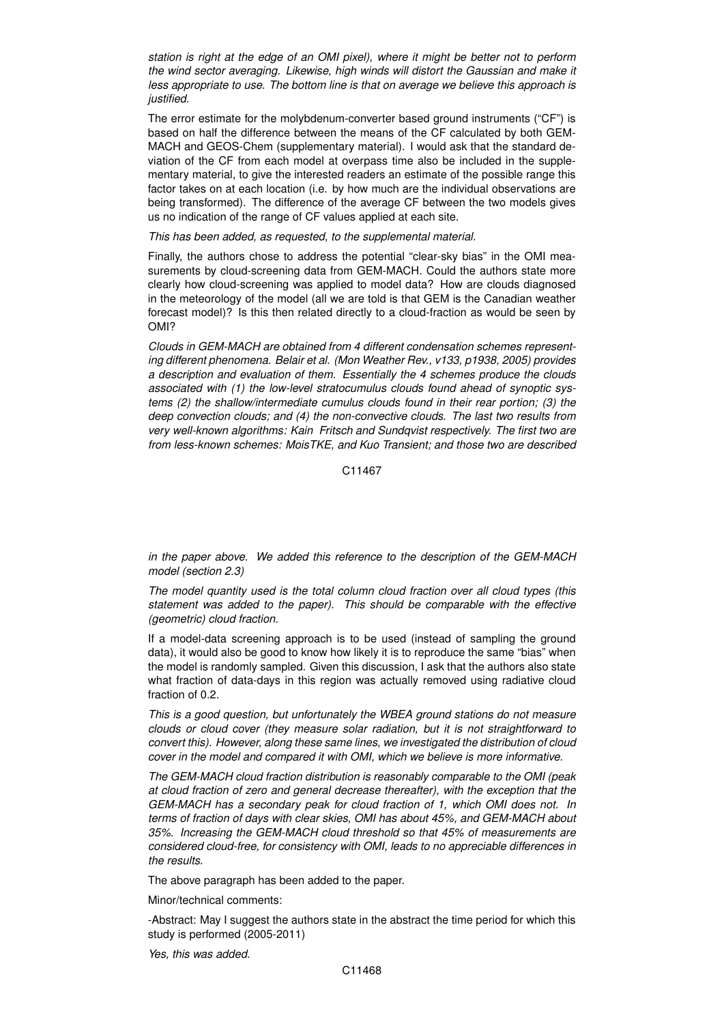*station is right at the edge of an OMI pixel), where it might be better not to perform the wind sector averaging. Likewise, high winds will distort the Gaussian and make it less appropriate to use. The bottom line is that on average we believe this approach is justified.*

The error estimate for the molybdenum-converter based ground instruments ("CF") is based on half the difference between the means of the CF calculated by both GEM-MACH and GEOS-Chem (supplementary material). I would ask that the standard deviation of the CF from each model at overpass time also be included in the supplementary material, to give the interested readers an estimate of the possible range this factor takes on at each location (i.e. by how much are the individual observations are being transformed). The difference of the average CF between the two models gives us no indication of the range of CF values applied at each site.

## *This has been added, as requested, to the supplemental material.*

Finally, the authors chose to address the potential "clear-sky bias" in the OMI measurements by cloud-screening data from GEM-MACH. Could the authors state more clearly how cloud-screening was applied to model data? How are clouds diagnosed in the meteorology of the model (all we are told is that GEM is the Canadian weather forecast model)? Is this then related directly to a cloud-fraction as would be seen by OMI?

*Clouds in GEM-MACH are obtained from 4 different condensation schemes representing different phenomena. Belair et al. (Mon Weather Rev., v133, p1938, 2005) provides a description and evaluation of them. Essentially the 4 schemes produce the clouds associated with (1) the low-level stratocumulus clouds found ahead of synoptic systems (2) the shallow/intermediate cumulus clouds found in their rear portion; (3) the deep convection clouds; and (4) the non-convective clouds. The last two results from very well-known algorithms: Kain Fritsch and Sundqvist respectively. The first two are from less-known schemes: MoisTKE, and Kuo Transient; and those two are described*

## C11467

*in the paper above. We added this reference to the description of the GEM-MACH model (section 2.3)*

*The model quantity used is the total column cloud fraction over all cloud types (this statement was added to the paper). This should be comparable with the effective (geometric) cloud fraction.*

If a model-data screening approach is to be used (instead of sampling the ground data), it would also be good to know how likely it is to reproduce the same "bias" when the model is randomly sampled. Given this discussion, I ask that the authors also state what fraction of data-days in this region was actually removed using radiative cloud fraction of 0.2.

*This is a good question, but unfortunately the WBEA ground stations do not measure clouds or cloud cover (they measure solar radiation, but it is not straightforward to convert this). However, along these same lines, we investigated the distribution of cloud cover in the model and compared it with OMI, which we believe is more informative.*

*The GEM-MACH cloud fraction distribution is reasonably comparable to the OMI (peak at cloud fraction of zero and general decrease thereafter), with the exception that the GEM-MACH has a secondary peak for cloud fraction of 1, which OMI does not. In terms of fraction of days with clear skies, OMI has about 45%, and GEM-MACH about 35%. Increasing the GEM-MACH cloud threshold so that 45% of measurements are considered cloud-free, for consistency with OMI, leads to no appreciable differences in the results.*

The above paragraph has been added to the paper.

Minor/technical comments:

-Abstract: May I suggest the authors state in the abstract the time period for which this study is performed (2005-2011)

*Yes, this was added.*